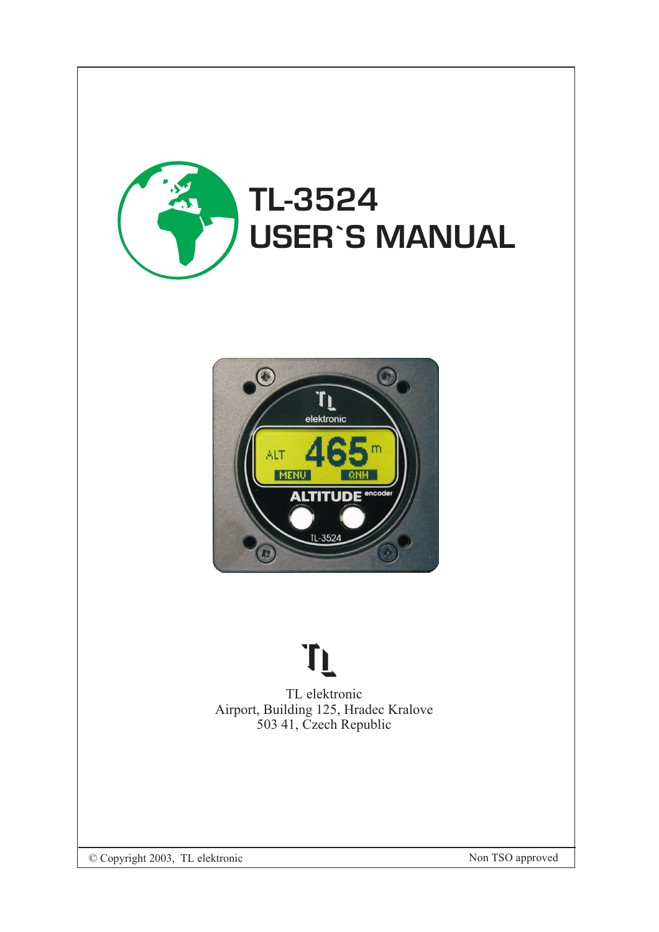



# **TL**

TL elektronic Airport, Building 125, Hradec Kralove 503 41, Czech Republic

© Copyright 2003, TL elektronic Non TSO approved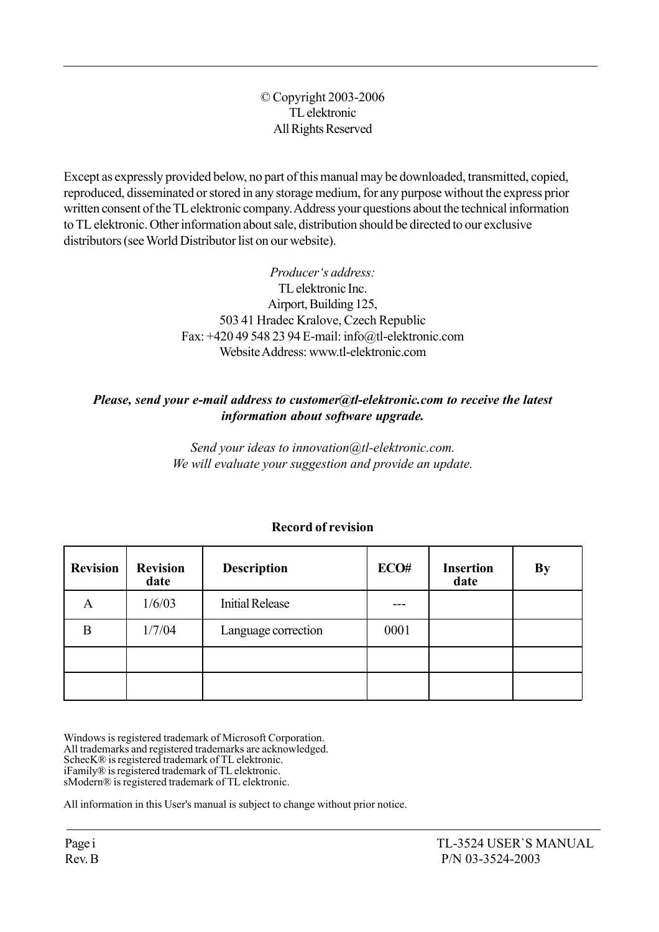#### © Copyright 2003-2006 TL elektronic All Rights Reserved

Except as expressly provided below, no part of this manual may be downloaded, transmitted, copied, reproduced, disseminated or stored in any storage medium, for any purpose without the express prior written consent of the TL elektronic company. Address your questions about the technical information to TL elektronic. Other information about sale, distribution should be directed to our exclusive distributors (see World Distributor list on our website).

> Producer's address: TL elektronic Inc. Airport, Building 125, 503 41 Hradec Kralove, Czech Republic Fax: +420 49 548 23 94 E-mail: info@tl-elektronic.com Website Address: www.tl-elektronic.com

#### Please, send your e-mail address to customer@tl-elektronic.com to receive the latest information about software upgrade.

Send your ideas to innovation@tl-elektronic.com. We will evaluate your suggestion and provide an update.

| <b>Revision</b> | <b>Revision</b><br>date | <b>Description</b>     | ECO# | <b>Insertion</b><br>date | <b>By</b> |
|-----------------|-------------------------|------------------------|------|--------------------------|-----------|
| A               | 1/6/03                  | <b>Initial Release</b> |      |                          |           |
| B               | 1/7/04                  | Language correction    | 0001 |                          |           |
|                 |                         |                        |      |                          |           |
|                 |                         |                        |      |                          |           |

#### Record of revision

Windows is registered trademark of Microsoft Corporation. All trademarks and registered trademarks are acknowledged. SchecK® is registered trademark of TL elektronic. iFamilyÆ is registered trademark of TL elektronic. sModern® is registered trademark of TL elektronic.

All information in this User's manual is subject to change without prior notice.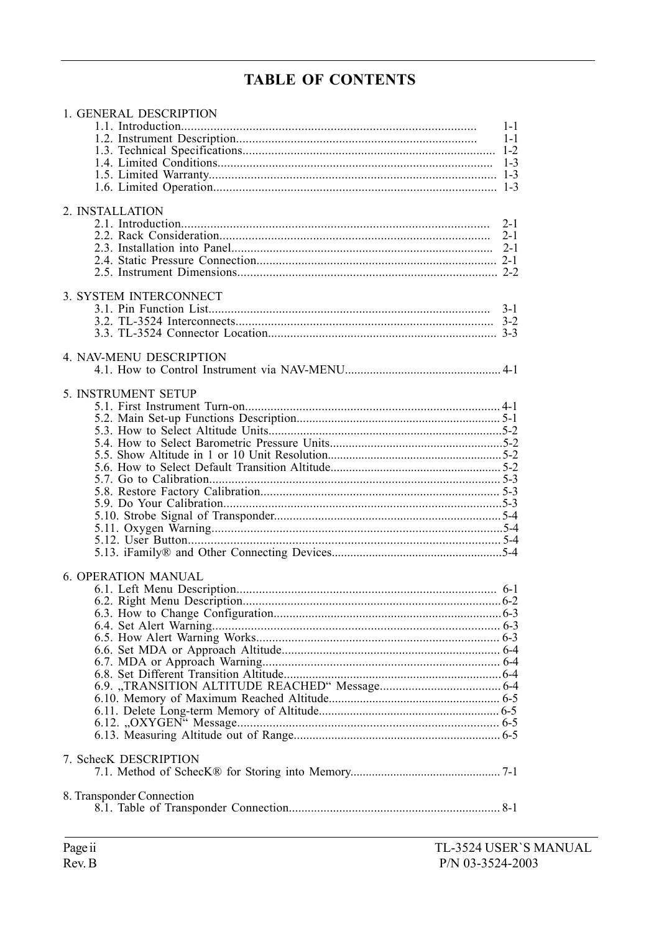# **TABLE OF CONTENTS**

| 1. GENERAL DESCRIPTION     | $1 - 1$<br>$1 - 1$ |
|----------------------------|--------------------|
|                            |                    |
| 2. INSTALLATION            |                    |
|                            | $2 - 1$<br>$2 - 1$ |
| 3. SYSTEM INTERCONNECT     | $3-1$              |
| 4. NAV-MENU DESCRIPTION    |                    |
| 5. INSTRUMENT SETUP        |                    |
|                            |                    |
|                            |                    |
|                            |                    |
|                            |                    |
|                            |                    |
|                            |                    |
|                            |                    |
|                            |                    |
| <b>6. OPERATION MANUAL</b> |                    |
|                            |                    |
|                            |                    |
|                            |                    |
|                            |                    |
|                            |                    |
|                            |                    |
|                            |                    |
|                            |                    |
|                            |                    |
| 7. SchecK DESCRIPTION      |                    |
| 8. Transponder Connection  |                    |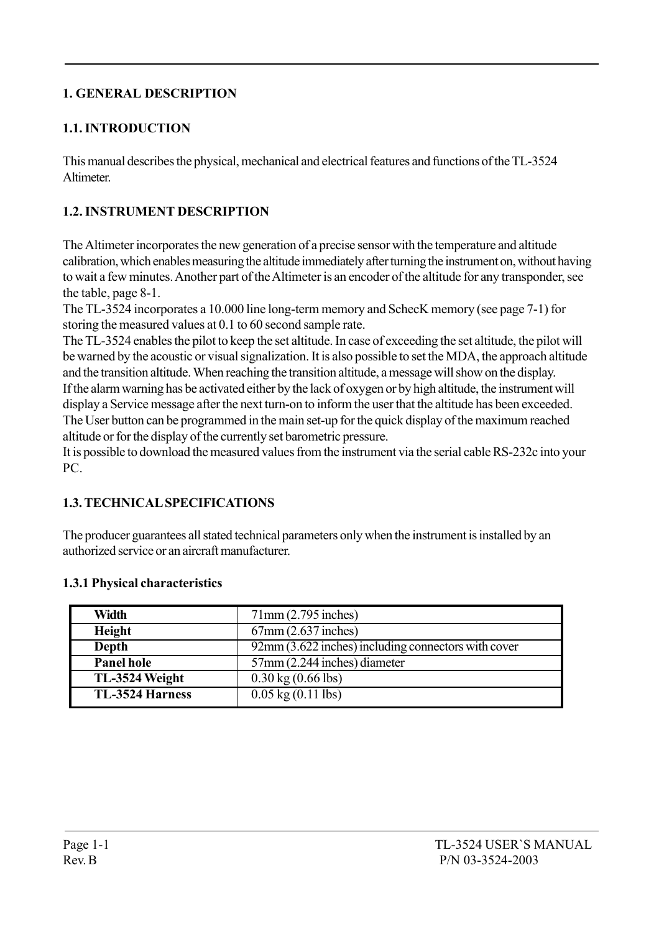# 1. GENERAL DESCRIPTION

# 1.1. INTRODUCTION

This manual describes the physical, mechanical and electrical features and functions of the TL-3524 **Altimeter** 

# 1.2. INSTRUMENT DESCRIPTION

The Altimeter incorporates the new generation of a precise sensor with the temperature and altitude calibration, which enables measuring the altitude immediately after turning the instrument on, without having to wait a few minutes. Another part of the Altimeter is an encoder of the altitude for any transponder, see the table, page 8-1.

The TL-3524 incorporates a 10.000 line long-term memory and SchecK memory (see page 7-1) for storing the measured values at 0.1 to 60 second sample rate.

The TL-3524 enables the pilot to keep the set altitude. In case of exceeding the set altitude, the pilot will be warned by the acoustic or visual signalization. It is also possible to set the MDA, the approach altitude and the transition altitude. When reaching the transition altitude, a message will show on the display. If the alarm warning has be activated either by the lack of oxygen or by high altitude, the instrument will display a Service message after the next turn-on to inform the user that the altitude has been exceeded. The User button can be programmed in the main set-up for the quick display of the maximum reached altitude or for the display of the currently set barometric pressure.

It is possible to download the measured values from the instrument via the serial cable RS-232c into your PC.

# 1.3. TECHNICAL SPECIFICATIONS

The producer guarantees all stated technical parameters only when the instrument is installed by an authorized service or an aircraft manufacturer.

#### 1.3.1 Physical characteristics

| <b>Width</b>           | 71mm(2.795 inches)                                  |
|------------------------|-----------------------------------------------------|
| Height                 | $67$ mm $(2.637$ inches)                            |
| Depth                  | 92mm (3.622 inches) including connectors with cover |
| Panel hole             | 57mm (2.244 inches) diameter                        |
| TL-3524 Weight         | $0.30 \text{ kg} (0.66 \text{ lbs})$                |
| <b>TL-3524 Harness</b> | $0.05$ kg $(0.11$ lbs)                              |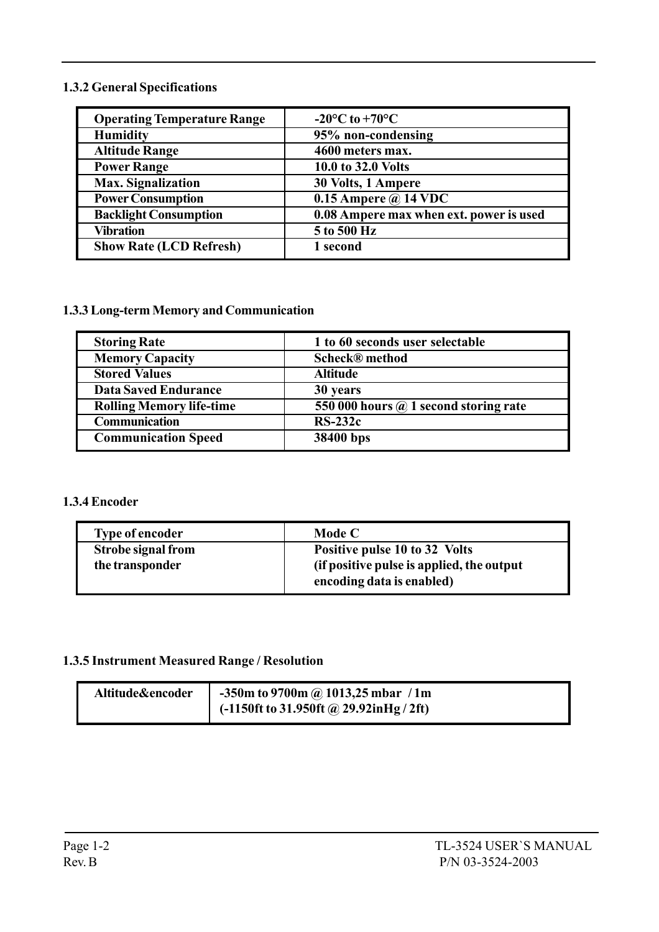#### 1.3.2 General Specifications

| <b>Operating Temperature Range</b> | $-20^{\circ}$ C to $+70^{\circ}$ C      |
|------------------------------------|-----------------------------------------|
| <b>Humidity</b>                    | 95% non-condensing                      |
| <b>Altitude Range</b>              | 4600 meters max.                        |
| <b>Power Range</b>                 | 10.0 to 32.0 Volts                      |
| <b>Max. Signalization</b>          | 30 Volts, 1 Ampere                      |
| <b>Power Consumption</b>           | 0.15 Ampere $\omega$ 14 VDC             |
| <b>Backlight Consumption</b>       | 0.08 Ampere max when ext. power is used |
| Vibration                          | 5 to 500 Hz                             |
| <b>Show Rate (LCD Refresh)</b>     | 1 second                                |

#### 1.3.3 Long-term Memory and Communication

| <b>Storing Rate</b>             | 1 to 60 seconds user selectable              |
|---------------------------------|----------------------------------------------|
| <b>Memory Capacity</b>          | <b>Scheck®</b> method                        |
| <b>Stored Values</b>            | <b>Altitude</b>                              |
| <b>Data Saved Endurance</b>     | 30 years                                     |
| <b>Rolling Memory life-time</b> | 550 000 hours $\omega$ 1 second storing rate |
| <b>Communication</b>            | $RS-232c$                                    |
| <b>Communication Speed</b>      | 38400 bps                                    |

#### 1.3.4 Encoder

| <b>Type of encoder</b>    | Mode C                                                                 |
|---------------------------|------------------------------------------------------------------------|
| <b>Strobe signal from</b> | Positive pulse 10 to 32 Volts                                          |
| the transponder           | (if positive pulse is applied, the output<br>encoding data is enabled) |

# 1.3.5 Instrument Measured Range / Resolution

| Altitude&encoder | $-350$ m to 9700m @ 1013,25 mbar / 1m          |
|------------------|------------------------------------------------|
|                  | $\sim$ (-1150ft to 31.950ft @ 29.92inHg / 2ft) |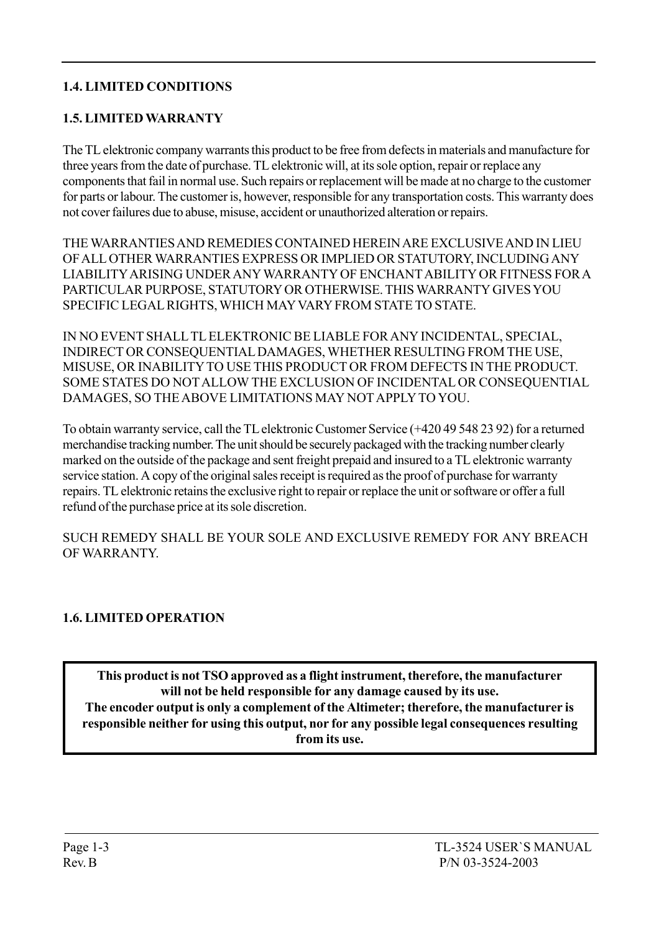# 1.4. LIMITED CONDITIONS

#### 1.5. LIMITED WARRANTY

The TL elektronic company warrants this product to be free from defects in materials and manufacture for three years from the date of purchase. TL elektronic will, at its sole option, repair or replace any components that fail in normal use. Such repairs or replacement will be made at no charge to the customer for parts or labour. The customer is, however, responsible for any transportation costs. This warranty does not cover failures due to abuse, misuse, accident or unauthorized alteration or repairs.

THE WARRANTIES AND REMEDIES CONTAINED HEREIN ARE EXCLUSIVE AND IN LIEU OF ALL OTHER WARRANTIES EXPRESS OR IMPLIED OR STATUTORY, INCLUDING ANY LIABILITY ARISING UNDER ANY WARRANTY OF ENCHANT ABILITY OR FITNESS FOR A PARTICULAR PURPOSE, STATUTORY OR OTHERWISE. THIS WARRANTY GIVES YOU SPECIFIC LEGAL RIGHTS, WHICH MAY VARY FROM STATE TO STATE.

IN NO EVENT SHALL TL ELEKTRONIC BE LIABLE FOR ANY INCIDENTAL, SPECIAL, INDIRECT OR CONSEQUENTIAL DAMAGES, WHETHER RESULTING FROM THE USE, MISUSE, OR INABILITY TO USE THIS PRODUCT OR FROM DEFECTS IN THE PRODUCT. SOME STATES DO NOT ALLOW THE EXCLUSION OF INCIDENTAL OR CONSEQUENTIAL DAMAGES, SO THE ABOVE LIMITATIONS MAY NOT APPLY TO YOU.

To obtain warranty service, call the TL elektronic Customer Service (+420 49 548 23 92) for a returned merchandise tracking number. The unit should be securely packaged with the tracking number clearly marked on the outside of the package and sent freight prepaid and insured to a TL elektronic warranty service station. A copy of the original sales receipt is required as the proof of purchase for warranty repairs. TL elektronic retains the exclusive right to repair or replace the unit or software or offer a full refund of the purchase price at its sole discretion.

SUCH REMEDY SHALL BE YOUR SOLE AND EXCLUSIVE REMEDY FOR ANY BREACH OF WARRANTY.

#### 1.6. LIMITED OPERATION

This product is not TSO approved as a flight instrument, therefore, the manufacturer will not be held responsible for any damage caused by its use. The encoder output is only a complement of the Altimeter; therefore, the manufacturer is responsible neither for using this output, nor for any possible legal consequences resulting from its use.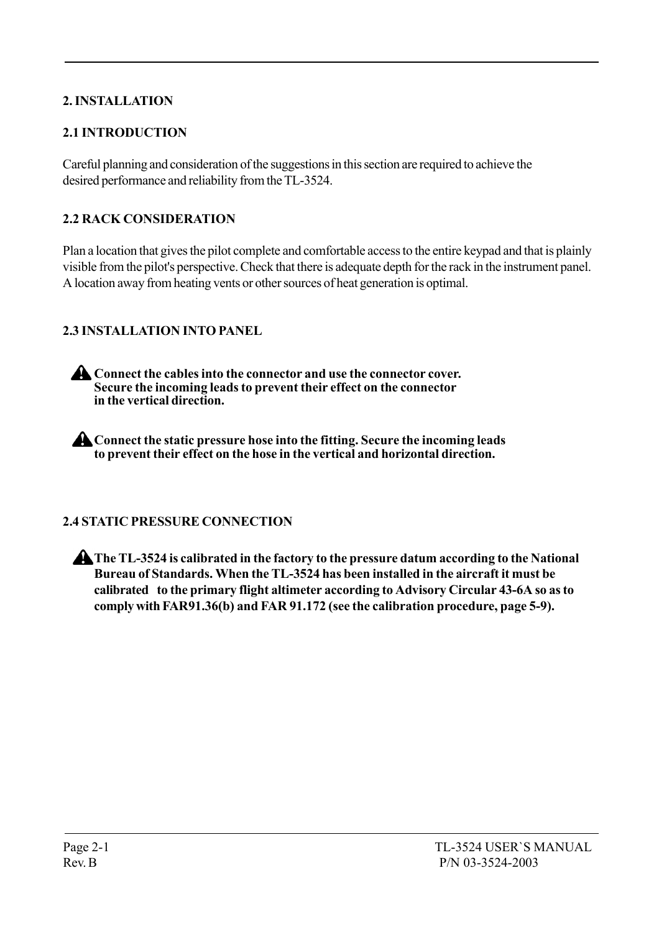# 2. INSTALLATION

# 2.1 INTRODUCTION

Careful planning and consideration of the suggestions in this section are required to achieve the desired performance and reliability from the TL-3524.

# 2.2 RACK CONSIDERATION

Plan a location that gives the pilot complete and comfortable access to the entire keypad and that is plainly visible from the pilot's perspective. Check that there is adequate depth for the rack in the instrument panel. A location away from heating vents or other sources of heat generation is optimal.

# 2.3 INSTALLATION INTO PANEL

Connect the cables into the connector and use the connector cover. Secure the incoming leads to prevent their effect on the connector in the vertical direction.

**A** Connect the static pressure hose into the fitting. Secure the incoming leads to prevent their effect on the hose in the vertical and horizontal direction.

# 2.4 STATIC PRESSURE CONNECTION

The TL-3524 is calibrated in the factory to the pressure datum according to the National Bureau of Standards. When the TL-3524 has been installed in the aircraft it must be calibrated to the primary flight altimeter according to Advisory Circular 43-6A so as to comply with FAR91.36(b) and FAR 91.172 (see the calibration procedure, page 5-9).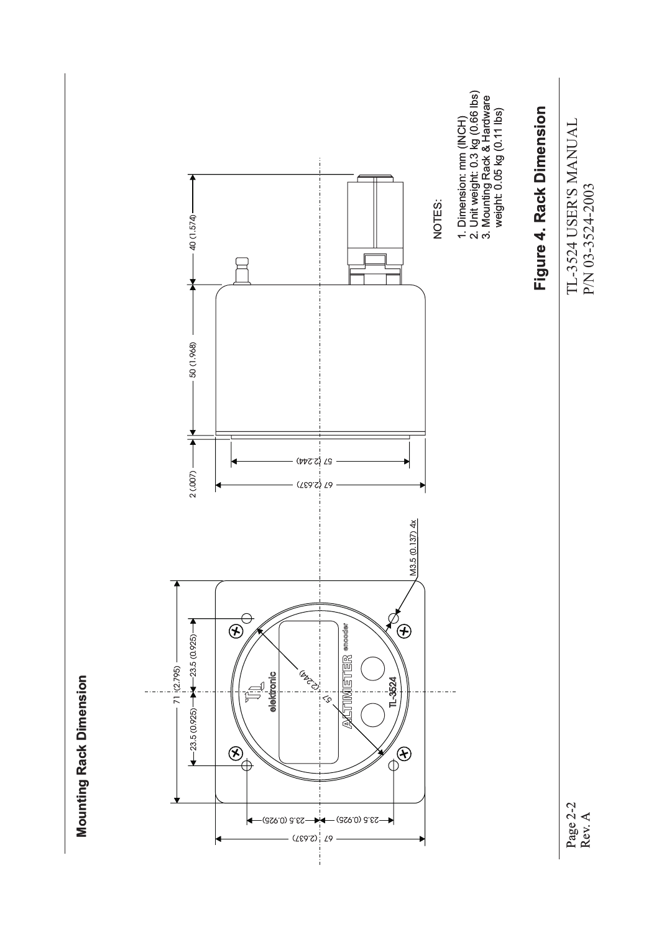

**Mounting Rack Dimension Mounting Rack Dimension**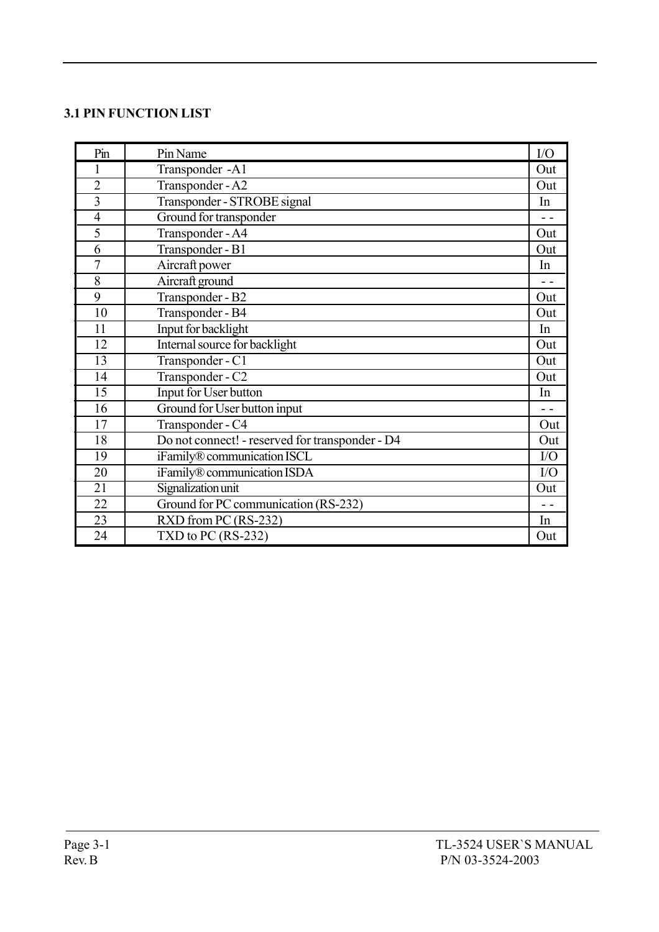#### 3.1 PIN FUNCTION LIST

| Pin             | Pin Name                                        | I/O           |
|-----------------|-------------------------------------------------|---------------|
| 1               | Transponder -A1                                 | Out           |
| $\overline{2}$  | Transponder - A2                                | Out           |
| $\overline{3}$  | Transponder - STROBE signal                     | In            |
| $\overline{4}$  | Ground for transponder                          | $\sim$ $\sim$ |
| 5               | Transponder - A4                                | Out           |
| 6               | Transponder - B1                                | Out           |
| $\overline{7}$  | Aircraft power                                  | In            |
| 8               | Aircraft ground                                 | $ -$          |
| 9               | Transponder - B2                                | Out           |
| 10              | Transponder - B4                                | Out           |
| 11              | Input for backlight                             | In            |
| 12              | Internal source for backlight                   | Out           |
| $\overline{13}$ | Transponder - C1                                | Out           |
| 14              | Transponder - C2                                | Out           |
| 15              | Input for User button                           | In            |
| 16              | Ground for User button input                    | $\sim$ $\sim$ |
| 17              | Transponder - C4                                | Out           |
| 18              | Do not connect! - reserved for transponder - D4 | Out           |
| 19              | iFamily® communication ISCL                     | I/O           |
| 20              | iFamily® communication ISDA                     | I/O           |
| $\overline{21}$ | Signalization unit                              | Out           |
| 22              | Ground for PC communication (RS-232)            | - -           |
| 23              | RXD from PC (RS-232)                            | In            |
| 24              | TXD to PC $(RS-232)$                            | Out           |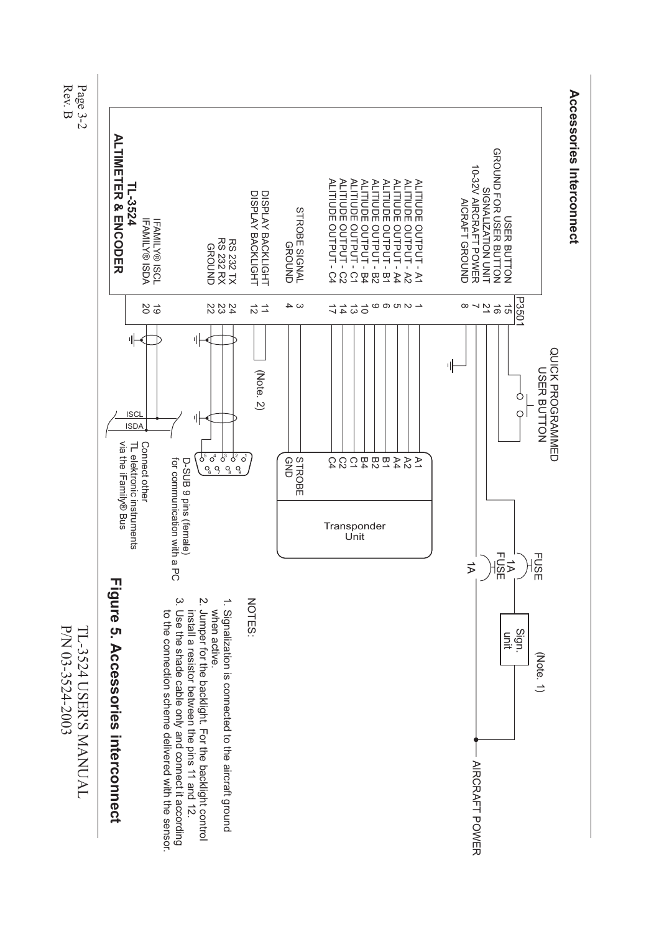Rev. $\Xi$ Page3-2



P/N 03-3524-2003 03-3524-2003 TL-3524TL-3524 USER'S MANUAL MANUAL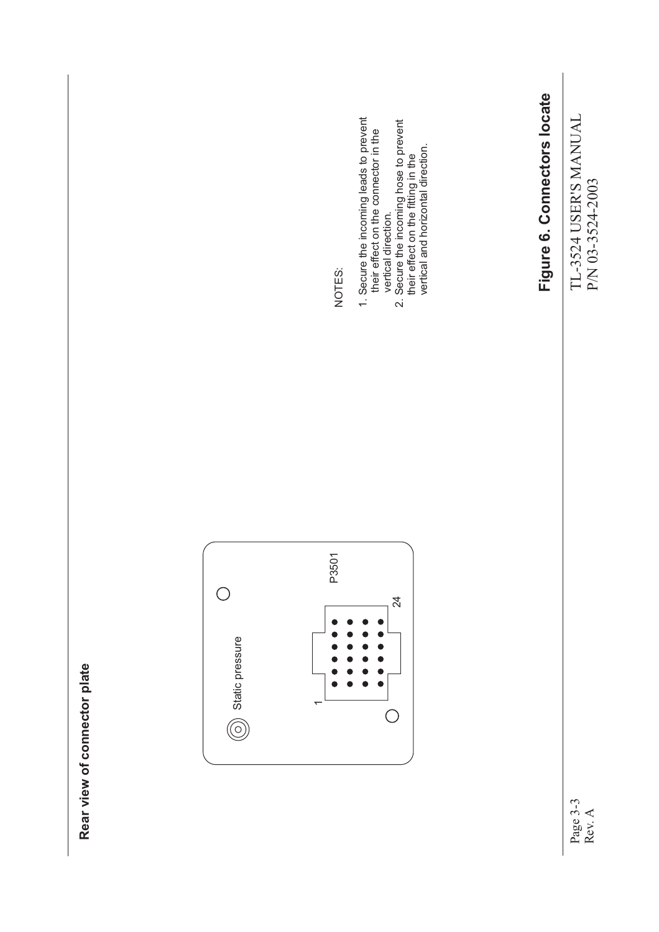TL-3524 USER'S MANUAL<br>P/N 03-3524-2003 TL-3524 USER'S MANUAL P/N 03-3524-2003

Page 3-3 Rev. A

# Figure 6. Connectors locate **Figure 6. Connectors locate**



**Rear view of connector plate**

Rear view of connector plate

NOTES:

- 1. Secure the incoming leads to prevent<br>their effect on the connector in the 1. Secure the incoming leads to prevent their effect on the connector in the vertical direction.
	- 2. Secure the incoming hose to prevent their effect on the fitting in the
	-
- vertical direction.<br>2. Secure the incoming hose to prevent<br>their effect on the fitting in the<br>vertical and horizontal direction. vertical and horizontal direction.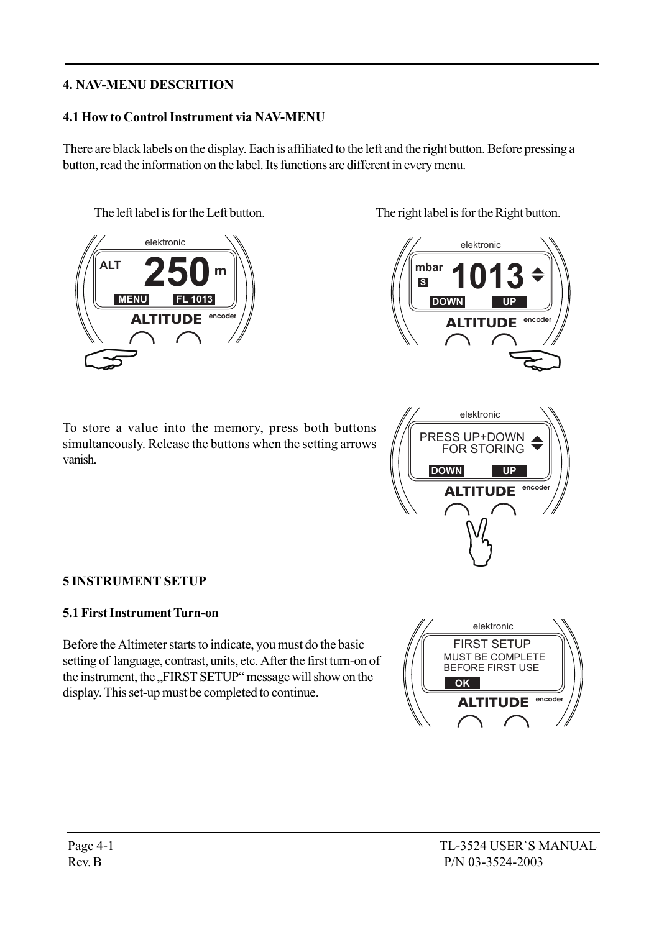# 4. NAV-MENU DESCRITION

#### 4.1 How to Control Instrument via NAV-MENU

There are black labels on the display. Each is affiliated to the left and the right button. Before pressing a button, read the information on the label. Its functions are different in every menu.



To store a value into the memory, press both buttons simultaneously. Release the buttons when the setting arrows vanish.

The left label is for the Left button. The right label is for the Right button.





#### 5 INSTRUMENT SETUP

#### 5.1 First Instrument Turn-on

Before the Altimeter starts to indicate, you must do the basic setting of language, contrast, units, etc. After the first turn-on of the instrument, the "FIRST SETUP" message will show on the display. This set-up must be completed to continue.

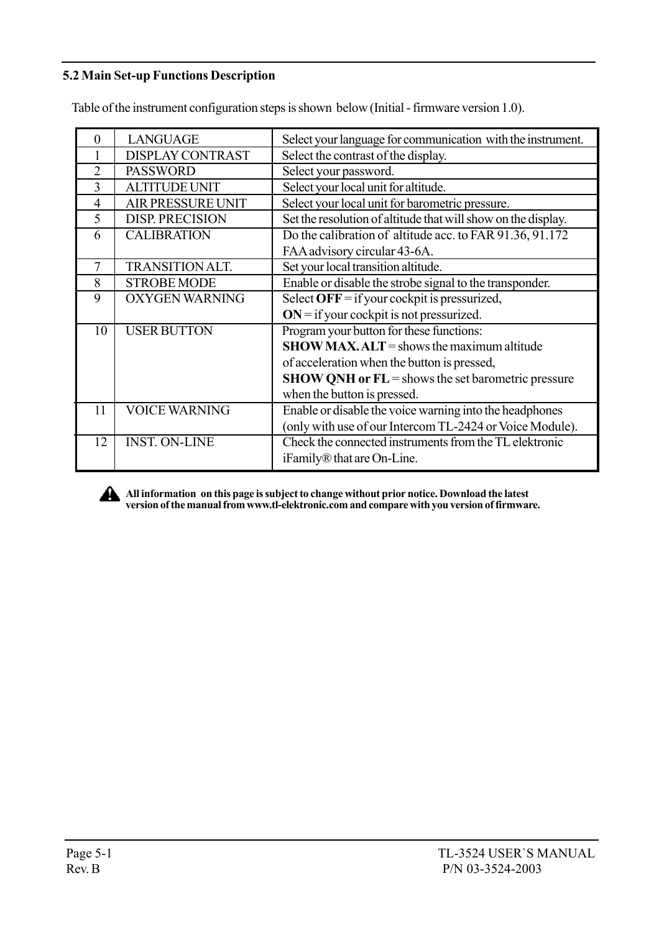## 5.2 Main Set-up Functions Description

Table of the instrument configuration steps is shown below (Initial - firmware version 1.0).

| 0              | <b>LANGUAGE</b>          | Select your language for communication with the instrument.   |
|----------------|--------------------------|---------------------------------------------------------------|
|                | <b>DISPLAY CONTRAST</b>  | Select the contrast of the display.                           |
| $\mathfrak{D}$ | <b>PASSWORD</b>          | Select your password.                                         |
| 3              | <b>ALTITUDE UNIT</b>     | Select your local unit for altitude.                          |
| $\overline{4}$ | <b>AIR PRESSURE UNIT</b> | Select your local unit for barometric pressure.               |
| 5              | <b>DISP. PRECISION</b>   | Set the resolution of altitude that will show on the display. |
| 6              | <b>CALIBRATION</b>       | Do the calibration of altitude acc. to FAR 91.36, 91.172      |
|                |                          | FAA advisory circular 43-6A.                                  |
| 7              | <b>TRANSITION ALT.</b>   | Set your local transition altitude.                           |
| 8              | <b>STROBE MODE</b>       | Enable or disable the strobe signal to the transponder.       |
| 9              | <b>OXYGEN WARNING</b>    | Select OFF = if your cockpit is pressurized,                  |
|                |                          | $ON = if$ your cockpit is not pressurized.                    |
| 10             | <b>USER BUTTON</b>       | Program your button for these functions:                      |
|                |                          | $SHOW MAX. ALT =$ shows the maximum altitude                  |
|                |                          | of acceleration when the button is pressed,                   |
|                |                          | $SHOW QNH$ or $FL =$ shows the set barometric pressure        |
|                |                          | when the button is pressed.                                   |
| 11             | <b>VOICE WARNING</b>     | Enable or disable the voice warning into the headphones       |
|                |                          | (only with use of our Intercom TL-2424 or Voice Module).      |
| 12             | <b>INST. ON-LINE</b>     | Check the connected instruments from the TL elektronic        |
|                |                          | iFamily <sup>®</sup> that are On-Line.                        |

All information on this page is subject to change without prior notice. Download the latest version of the manual from www.tl-elektronic.com and compare with you version of firmware.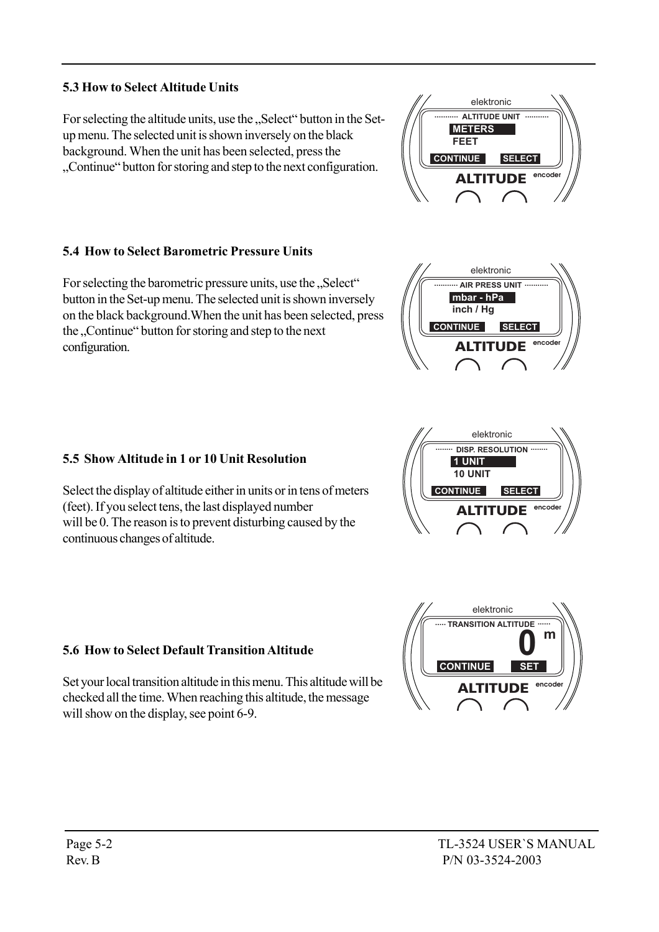# 5.3 How to Select Altitude Units

For selecting the altitude units, use the "Select" button in the Setup menu. The selected unit is shown inversely on the black background. When the unit has been selected, press the Continue<sup>\*</sup> button for storing and step to the next configuration.

#### 5.4 How to Select Barometric Pressure Units

For selecting the barometric pressure units, use the "Select" button in the Set-up menu. The selected unit is shown inversely on the black background.When the unit has been selected, press the "Continue" button for storing and step to the next configuration.

# 5.5 Show Altitude in 1 or 10 Unit Resolution

Select the display of altitude either in units or in tens of meters (feet). If you select tens, the last displayed number will be 0. The reason is to prevent disturbing caused by the continuous changes of altitude.

# 5.6 How to Select Default Transition Altitude

Set your local transition altitude in this menu. This altitude will be checked all the time. When reaching this altitude, the message will show on the display, see point 6-9.









elektronic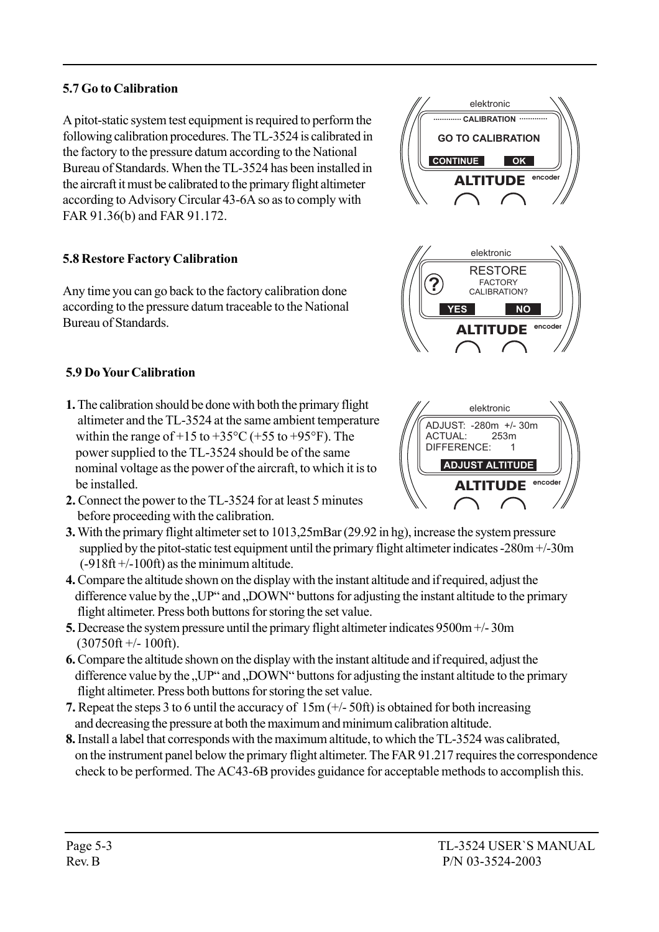# 5.7 Go to Calibration

A pitot-static system test equipment is required to perform the following calibration procedures. The TL-3524 is calibrated in the factory to the pressure datum according to the National Bureau of Standards. When the TL-3524 has been installed in the aircraft it must be calibrated to the primary flight altimeter according to Advisory Circular 43-6A so as to comply with FAR 91.36(b) and FAR 91.172.

# 5.8 Restore Factory Calibration

Any time you can go back to the factory calibration done according to the pressure datum traceable to the National Bureau of Standards.

# 5.9 Do Your Calibration

- 1. The calibration should be done with both the primary flight altimeter and the TL-3524 at the same ambient temperature within the range of  $+15$  to  $+35^{\circ}$ C ( $+55$  to  $+95^{\circ}$ F). The power supplied to the TL-3524 should be of the same nominal voltage as the power of the aircraft, to which it is to be installed.
- 2. Connect the power to the TL-3524 for at least 5 minutes before proceeding with the calibration.
- 3. With the primary flight altimeter set to 1013,25mBar (29.92 in hg), increase the system pressure supplied by the pitot-static test equipment until the primary flight altimeter indicates -280m +/-30m  $(-918ft + -100ft)$  as the minimum altitude.
- 4. Compare the altitude shown on the display with the instant altitude and if required, adjust the difference value by the "UP" and "DOWN" buttons for adjusting the instant altitude to the primary flight altimeter. Press both buttons for storing the set value.
- 5. Decrease the system pressure until the primary flight altimeter indicates 9500m +/- 30m  $(30750 \text{ft} +/- 100 \text{ft})$ .
- 6. Compare the altitude shown on the display with the instant altitude and if required, adjust the difference value by the  $U\!U\!P$ <sup> $\cdot$ </sup> and  $U\!D\!O\!W\!N$ <sup> $\cdot$ </sup> buttons for adjusting the instant altitude to the primary flight altimeter. Press both buttons for storing the set value.
- 7. Repeat the steps 3 to 6 until the accuracy of 15m (+/- 50ft) is obtained for both increasing and decreasing the pressure at both the maximum and minimum calibration altitude.
- 8. Install a label that corresponds with the maximum altitude, to which the TL-3524 was calibrated, on the instrument panel below the primary flight altimeter. The FAR 91.217 requires the correspondence check to be performed. The AC43-6B provides guidance for acceptable methods to accomplish this.







elektronic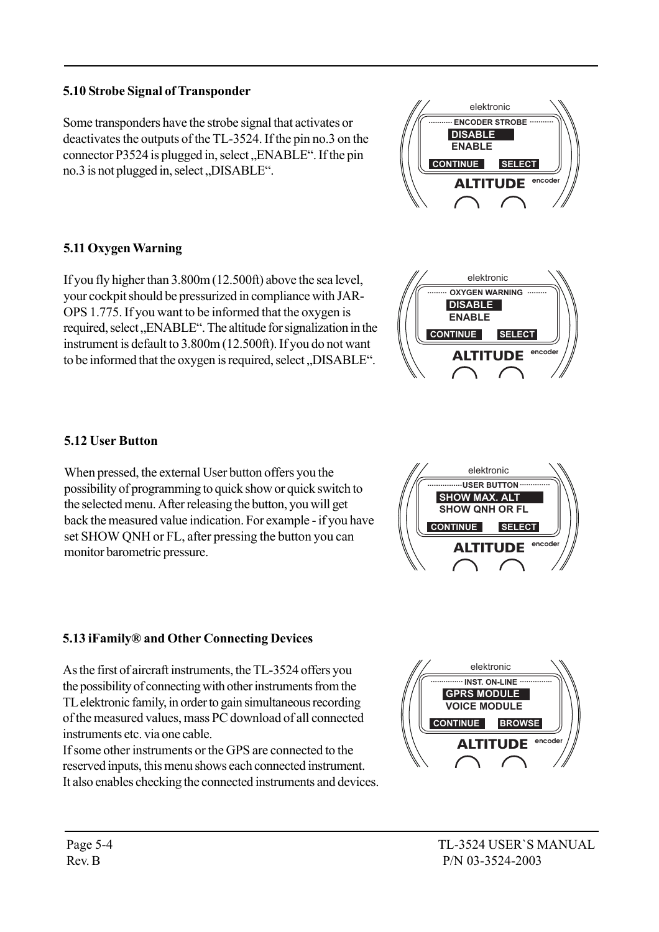#### 5.10 Strobe Signal of Transponder

Some transponders have the strobe signal that activates or deactivates the outputs of the TL-3524. If the pin no.3 on the connector P3524 is plugged in, select,  $ENABLE^{\alpha}$ . If the pin  $no.3$  is not plugged in, select,  $DISABLE$ <sup>".</sup>

#### 5.11 Oxygen Warning

If you fly higher than 3.800m (12.500ft) above the sea level, your cockpit should be pressurized in compliance with JAR-OPS 1.775. If you want to be informed that the oxygen is required, select "ENABLE". The altitude for signalization in the instrument is default to 3.800m (12.500ft). If you do not want to be informed that the oxygen is required, select, DISABLE".

#### 5.12 User Button

When pressed, the external User button offers you the possibility of programming to quick show or quick switch to the selected menu. After releasing the button, you will get back the measured value indication. For example - if you have set SHOW QNH or FL, after pressing the button you can monitor barometric pressure.

#### 5.13 iFamily<sup>®</sup> and Other Connecting Devices

As the first of aircraft instruments, the TL-3524 offers you the possibility of connecting with other instruments from the TL elektronic family, in order to gain simultaneous recording of the measured values, mass PC download of all connected instruments etc. via one cable.

If some other instruments or the GPS are connected to the reserved inputs, this menu shows each connected instrument. It also enables checking the connected instruments and devices.









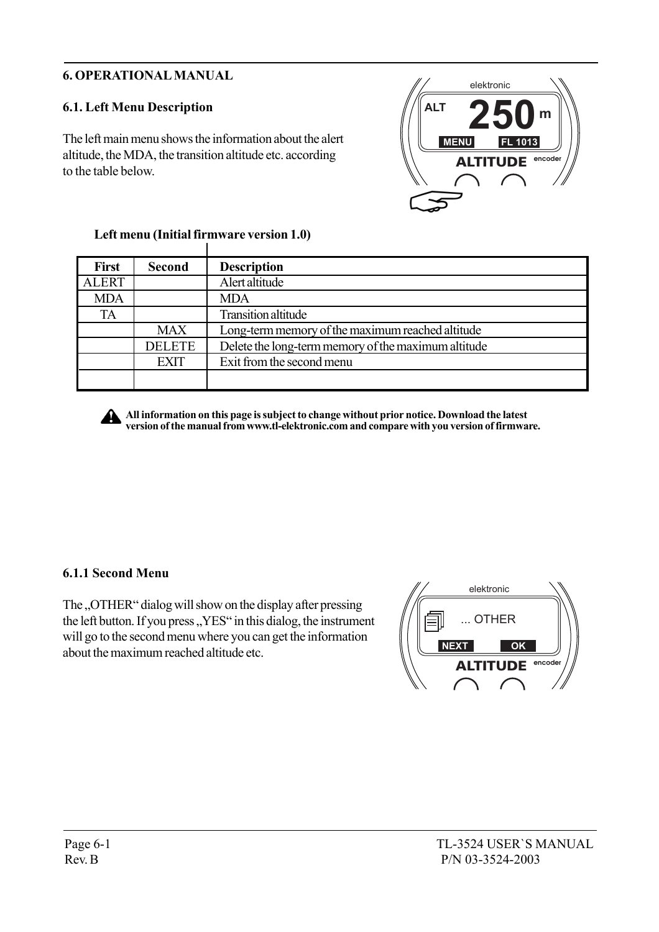# 6. OPERATIONAL MANUAL

# 6.1. Left Menu Description

The left main menu shows the information about the alert altitude, the MDA, the transition altitude etc. according to the table below.



| <b>Second</b> | <b>Description</b>                                  |
|---------------|-----------------------------------------------------|
|               | Alert altitude                                      |
|               | <b>MDA</b>                                          |
|               | <b>Transition altitude</b>                          |
| <b>MAX</b>    | Long-term memory of the maximum reached altitude    |
| <b>DELETE</b> | Delete the long-term memory of the maximum altitude |
| <b>EXIT</b>   | Exit from the second menu                           |
|               |                                                     |
|               |                                                     |

#### Left menu (Initial firmware version 1.0)  $\mathbf{I}$



All information on this page is subject to change without prior notice. Download the latest version of the manual from www.tl-elektronic.com and compare with you version of firmware.

#### 6.1.1 Second Menu

The "OTHER" dialog will show on the display after pressing the left button. If you press,  $YES^{\prime\prime}$  in this dialog, the instrument will go to the second menu where you can get the information about the maximum reached altitude etc.

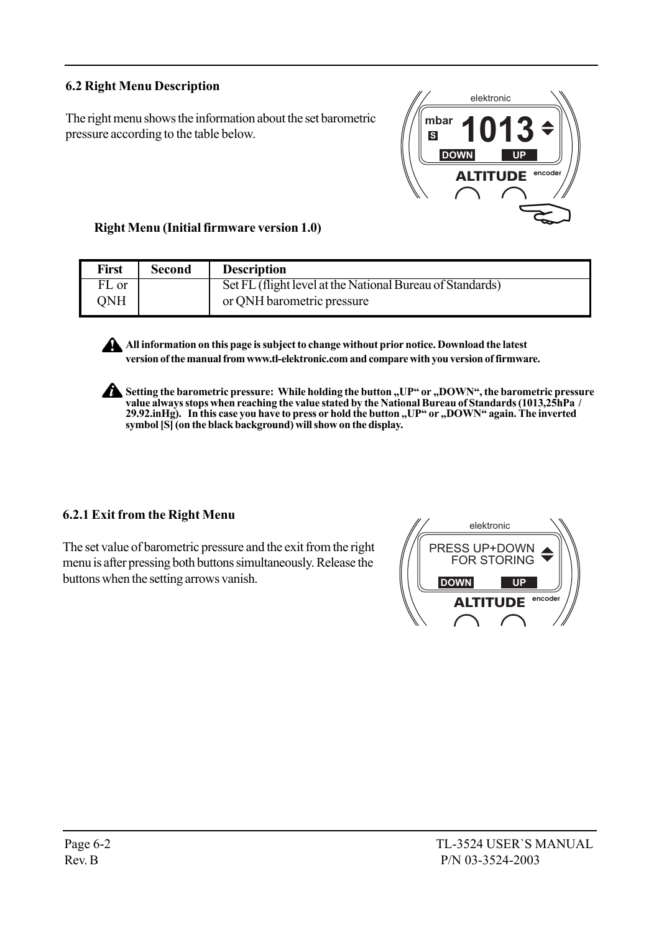# 6.2 Right Menu Description

The right menu shows the information about the set barometric pressure according to the table below.



Right Menu (Initial firmware version 1.0)

| <b>First</b> | <b>Second</b> | <b>Description</b>                                        |
|--------------|---------------|-----------------------------------------------------------|
| FL or        |               | Set FL (flight level at the National Bureau of Standards) |
| <b>JNH</b>   |               | or QNH barometric pressure                                |

All information on this page is subject to change without prior notice. Download the latest version of the manual from www.tl-elektronic.com and compare with you version of firmware.

Setting the barometric pressure: While holding the button "UP" or "DOWN", the barometric pressure value always stops when reaching the value stated by the National Bureau of Standards (1013,25hPa / 29.92.inHg). In this case you have to press or hold the button "UP" or "DOWN" again. The inverted symbol [S] (on the black background) will show on the display.

#### 6.2.1 Exit from the Right Menu

The set value of barometric pressure and the exit from the right menu is after pressing both buttons simultaneously. Release the buttons when the setting arrows vanish.

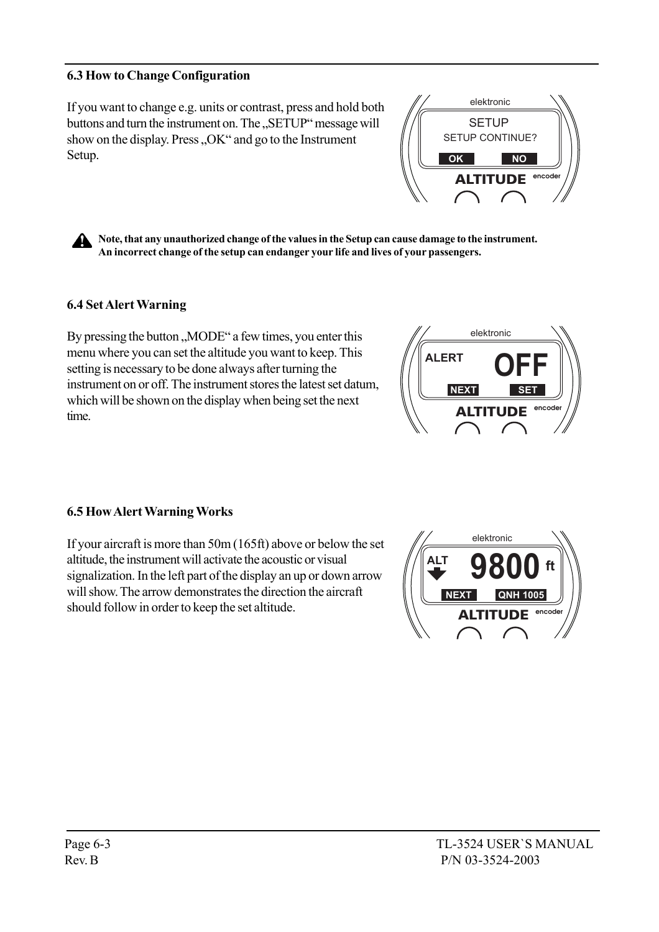#### 6.3 How to Change Configuration

If you want to change e.g. units or contrast, press and hold both buttons and turn the instrument on. The "SETUP" message will show on the display. Press "OK" and go to the Instrument Setup.

Note, that any unauthorized change of the values in the Setup can cause damage to the instrument. An incorrect change of the setup can endanger your life and lives of your passengers.

#### 6.4 Set Alert Warning

By pressing the button "MODE" a few times, you enter this menu where you can set the altitude you want to keep. This setting is necessary to be done always after turning the instrument on or off. The instrument stores the latest set datum, which will be shown on the display when being set the next time.

#### 6.5 How Alert Warning Works

If your aircraft is more than 50m (165ft) above or below the set altitude, the instrument will activate the acoustic or visual signalization. In the left part of the display an up or down arrow will show. The arrow demonstrates the direction the aircraft should follow in order to keep the set altitude.







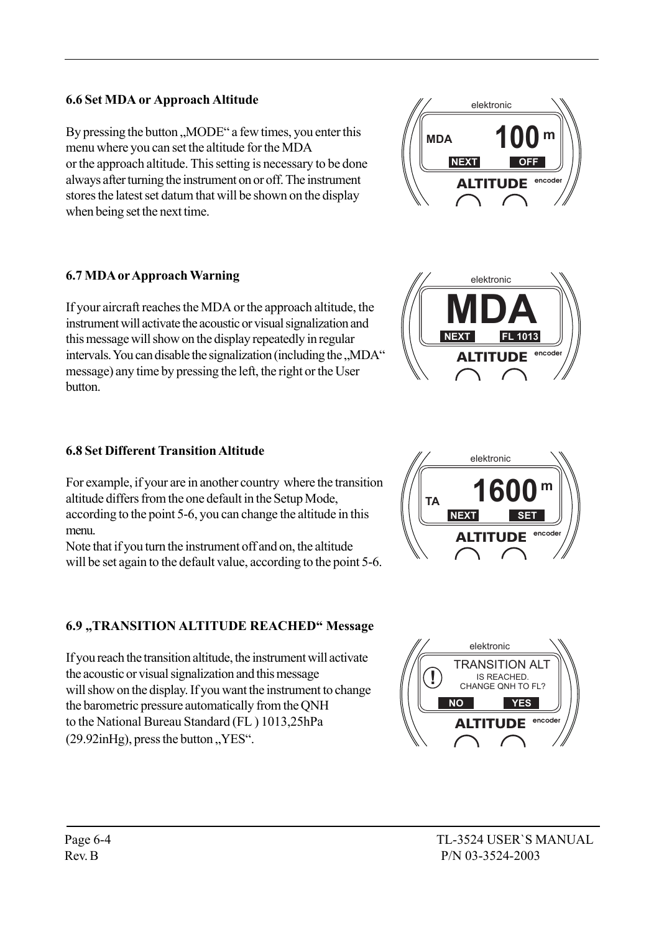## 6.6 Set MDA or Approach Altitude

By pressing the button "MODE" a few times, you enter this menu where you can set the altitude for the MDA or the approach altitude. This setting is necessary to be done always after turning the instrument on or off. The instrument stores the latest set datum that will be shown on the display when being set the next time.

#### 6.7 MDA or Approach Warning

If your aircraft reaches the MDA or the approach altitude, the instrument will activate the acoustic or visual signalization and this message will show on the display repeatedly in regular intervals. You can disable the signalization (including the "MDA" message) any time by pressing the left, the right or the User button.

#### 6.8 Set Different Transition Altitude

For example, if your are in another country where the transition altitude differs from the one default in the Setup Mode, according to the point 5-6, you can change the altitude in this menu.

Note that if you turn the instrument off and on, the altitude will be set again to the default value, according to the point 5-6.

# 6.9 "TRANSITION ALTITUDE REACHED" Message

If you reach the transition altitude, the instrument will activate the acoustic or visual signalization and this message will show on the display. If you want the instrument to change the barometric pressure automatically from the QNH to the National Bureau Standard (FL ) 1013,25hPa  $(29.92inHg)$ , press the button "YES".



elektronic

**MDA m**

ALTITUDE **encoder**

**NEXT** 



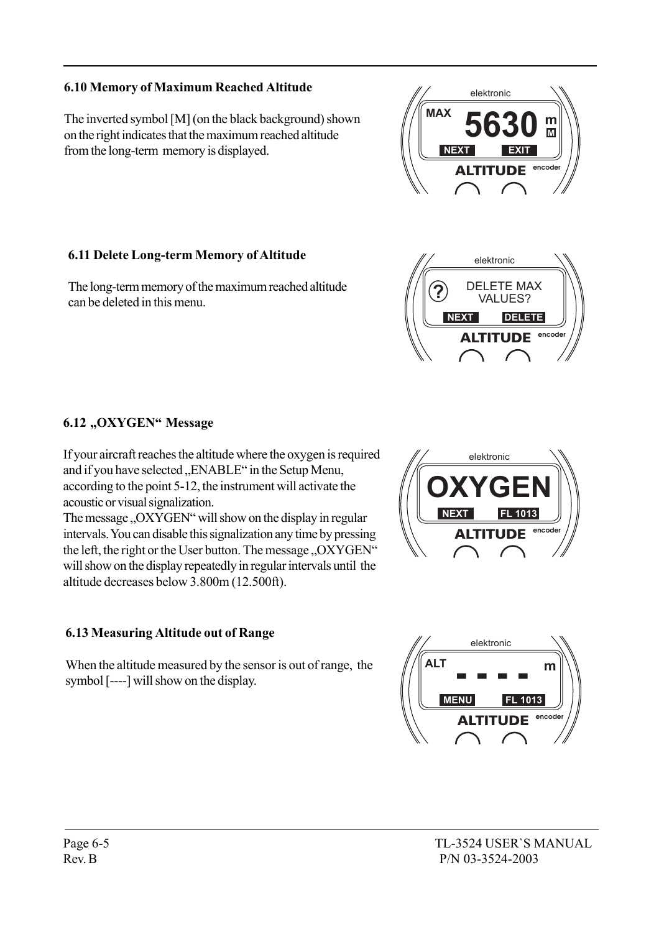# 6.10 Memory of Maximum Reached Altitude

The inverted symbol [M] (on the black background) shown on the right indicates that the maximum reached altitude from the long-term memory is displayed.

# 6.11 Delete Long-term Memory of Altitude

The long-term memory of the maximum reached altitude can be deleted in this menu.

# 6.12 "OXYGEN" Message

If your aircraft reaches the altitude where the oxygen is required and if you have selected "ENABLE" in the Setup Menu, according to the point 5-12, the instrument will activate the acoustic or visual signalization.

The message "OXYGEN" will show on the display in regular intervals. You can disable this signalization any time by pressing the left, the right or the User button. The message, OXYGEN" will show on the display repeatedly in regular intervals until the altitude decreases below 3.800m (12.500ft).

# 6.13 Measuring Altitude out of Range

When the altitude measured by the sensor is out of range, the symbol [----] will show on the display.







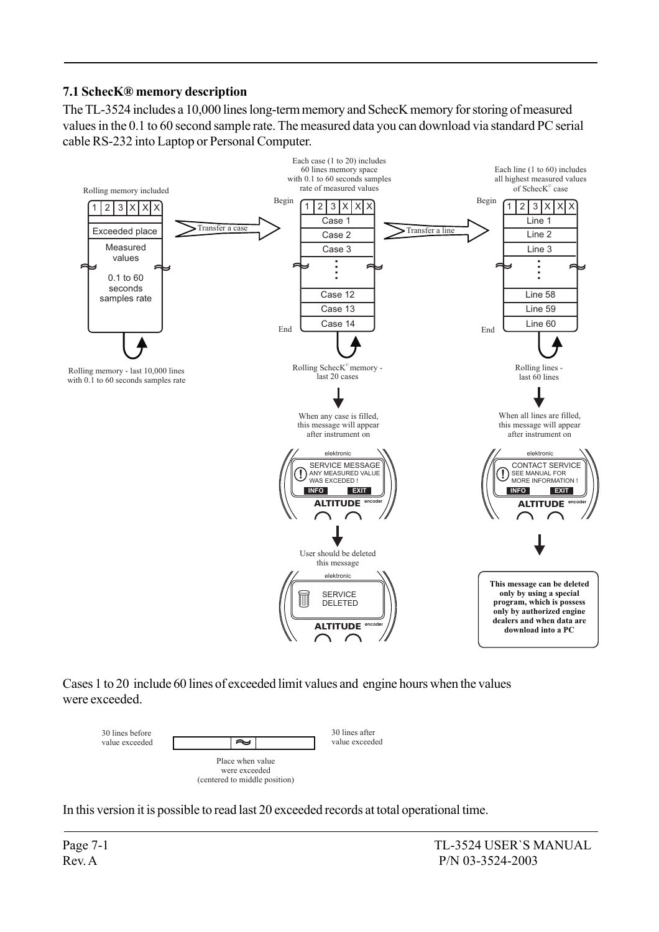# 7.1 SchecKÆ memory description

The TL-3524 includes a 10,000 lines long-term memory and SchecK memory for storing of measured values in the 0.1 to 60 second sample rate. The measured data you can download via standard PC serial cable RS-232 into Laptop or Personal Computer.



Cases 1 to 20 include 60 lines of exceeded limit values and engine hours when the values were exceeded.



In this version it is possible to read last 20 exceeded records at total operational time.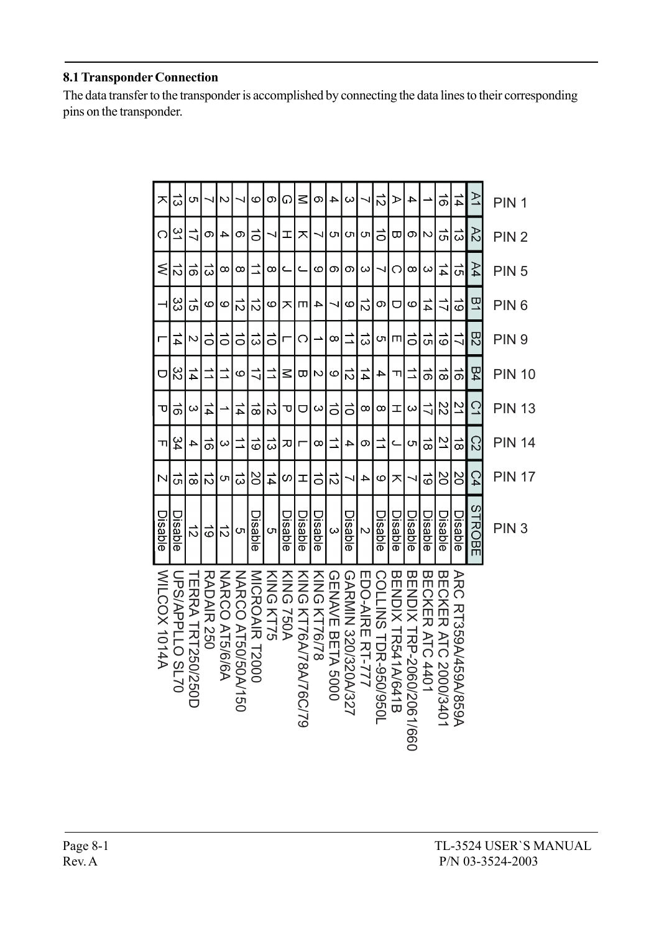#### 8.1 Transponder Connection

The data transfer to the transponder is accomplished by connecting the data lines to their corresponding pins on the transponder.

| ᅎ                   | ದ                                     | C                       |                   | N                    | J                | ဖ              | თ         | G         | $\leq$                | თ                        | 4                | ω                    |                         | $\vec{c}$            | ➢                  | 4                        |                              | $\vec{\sigma}$              | $\frac{1}{4}$        | $\geq$    | PIN <sub>1</sub> |
|---------------------|---------------------------------------|-------------------------|-------------------|----------------------|------------------|----------------|-----------|-----------|-----------------------|--------------------------|------------------|----------------------|-------------------------|----------------------|--------------------|--------------------------|------------------------------|-----------------------------|----------------------|-----------|------------------|
| റ                   | $\tilde{\Xi}$                         | ゴ                       | თ                 | 4                    | တ                | ਠ              |           | 工         | ᄌ                     | 4                        | C٦               | C٦                   | C٦                      | $\vec{o}$            | ᡂ                  | တ                        | N                            | ਨ                           | ಹ                    | 22        | PIN <sub>2</sub> |
| ⋚                   | ぃ                                     | ಸ                       | ದ                 | $^{\circ}$           | ∞                | ゴ              | ∞         | Ċ         | Ċ                     | ဖ                        | თ                | თ                    | ω                       | ↘                    | റ                  | $\infty$                 | ω                            | 44                          | ີຕ                   | Α4        | PIN <sub>5</sub> |
|                     | င္လ                                   | —<br>បា                 | ဖ                 | ဖ                    | ぃ                | $\vec{c}$      | ဖ         | ᄌ         | m                     | 4                        | ₹                | ဖ                    | $\vec{z}$               | တ                    | ヮ                  | ဖ                        | 14                           | ゴ                           | $\vec{0}$            | 鸟         | PIN <sub>6</sub> |
| г                   | 4                                     | N                       | $\vec{o}$         | $\vec{o}$            | $\vec{o}$        | ದ              | $\vec{o}$ | Г         | O                     | $\overline{\phantom{a}}$ | $\infty$         | $\overrightarrow{ }$ | $\vec{\omega}$          | c                    | Ш                  | $\vec{0}$                | ີຕ                           | $\vec{\circ}$               | $\vec{\phantom{0}}$  | <b>R2</b> | PIN <sub>9</sub> |
| ヮ                   | $\stackrel{\infty}{\scriptstyle\sim}$ | 14                      |                   | $\overrightarrow{ }$ | ဖ                | ミ              | ℶ         | ≤         | ω                     | N                        | ဖ                | $\vec{z}$            | 14                      | 4                    | ᆩ                  | $\overline{\phantom{a}}$ | $\vec{0}$                    | ಹ                           | $\vec{\sigma}$       | <b>B4</b> | <b>PIN 10</b>    |
| ᠊ᠣ                  | $\vec{0}$                             | ω                       | 14                |                      | 귝                | ಹ              | $\vec{v}$ | ᠊ᠣ        | U                     | $\infty$                 | $\vec{0}$        | $\vec{o}$            | $\infty$                | $\infty$             | 工                  | $\infty$                 | $\vec{\mathcal{L}}$          | 22                          | $\overline{2}$       | ご         | <b>PIN 13</b>    |
| ᆩ                   | 34                                    | 4                       | $\vec{0}$         | ω                    | ⋾                | ō              | ξ         | 观         | г                     | ∞                        | $\vec{=}$        | 4                    | თ                       | $\overrightarrow{ }$ | Ċ                  | C                        | $\vec{\infty}$               | $\geq$                      | $\vec{\infty}$       | C<br>2    | <b>PIN 14</b>    |
| N                   | ᇬ                                     | ಹ                       | ಸ                 | ပာ                   | ಹ                | ပ္ပ            | 14        | ഗ         | H                     | $\vec{o}$                | $\vec{z}$        | ↘                    | 4                       | ဖ                    | ᄌ                  | ⇃                        | $\frac{1}{\infty}$           | SO                          | SO                   | C4        | <b>PIN 17</b>    |
| Disable             | Disable                               | ぃ                       | ಠ                 | ನ                    | C                | Disabl<br>᠗    | <u>ທ</u>  | Disable   | Disable               | Disable                  | ω                | Disable              | $\overline{\mathsf{C}}$ | Disable              | Disable            | Disable                  | Disable                      | Disable                     | Disable              | STROBE    | PIN <sub>3</sub> |
| <b>MILCOX 1014A</b> | JPPPLLO SL70                          | <b>LERAY HRHS0/250D</b> | <b>RADAIR 250</b> | NARCO AT5/6/6A       | NARCO AT50/20150 | MICROAIR T2000 | KING KT75 | KING 750A | KING KT76A/78A/76C/79 | KING KT76/78             | GENAVE BETA 5000 | GARMIN 320/320A/327  | EDO-AIRE RT-777         | COLLING TDR-950/9501 | BENDIX TR5414/641B | BENDIX HRP-2060/2061/660 | BECKER<br>ATC<br>ATC<br>4401 | <b>BECKER ATC 2000/3401</b> | ARC RT359A/459A/859A |           |                  |